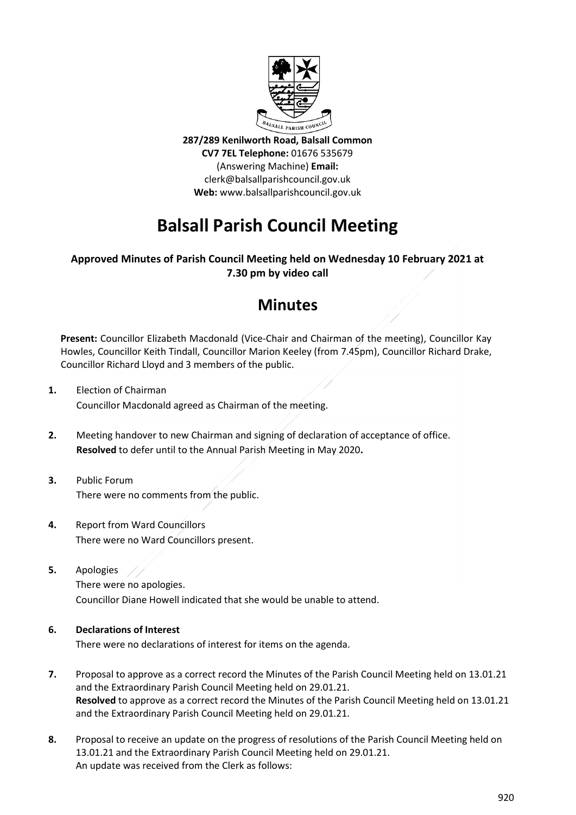

287/289 Kenilworth Road, Balsall Common CV7 7EL Telephone: 01676 535679 (Answering Machine) Email: clerk@balsallparishcouncil.gov.uk Web: www.balsallparishcouncil.gov.uk

# Balsall Parish Council Meeting

## Approved Minutes of Parish Council Meeting held on Wednesday 10 February 2021 at 7.30 pm by video call

# **Minutes**

Present: Councillor Elizabeth Macdonald (Vice-Chair and Chairman of the meeting), Councillor Kay Howles, Councillor Keith Tindall, Councillor Marion Keeley (from 7.45pm), Councillor Richard Drake, Councillor Richard Lloyd and 3 members of the public.

- 1. Election of Chairman Councillor Macdonald agreed as Chairman of the meeting.
- 2. Meeting handover to new Chairman and signing of declaration of acceptance of office. Resolved to defer until to the Annual Parish Meeting in May 2020.
- 3. Public Forum There were no comments from the public.
- 4. Report from Ward Councillors There were no Ward Councillors present.
- 5. Apologies

 There were no apologies. Councillor Diane Howell indicated that she would be unable to attend.

#### 6. Declarations of Interest

There were no declarations of interest for items on the agenda.

- 7. Proposal to approve as a correct record the Minutes of the Parish Council Meeting held on 13.01.21 and the Extraordinary Parish Council Meeting held on 29.01.21. Resolved to approve as a correct record the Minutes of the Parish Council Meeting held on 13.01.21 and the Extraordinary Parish Council Meeting held on 29.01.21.
- 8. Proposal to receive an update on the progress of resolutions of the Parish Council Meeting held on 13.01.21 and the Extraordinary Parish Council Meeting held on 29.01.21. An update was received from the Clerk as follows: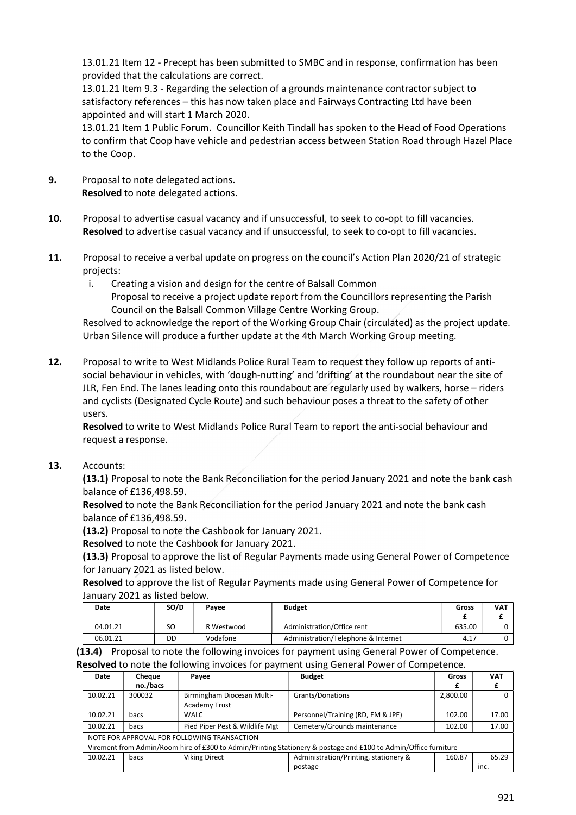13.01.21 Item 12 - Precept has been submitted to SMBC and in response, confirmation has been provided that the calculations are correct.

 13.01.21 Item 9.3 - Regarding the selection of a grounds maintenance contractor subject to satisfactory references – this has now taken place and Fairways Contracting Ltd have been appointed and will start 1 March 2020.

 13.01.21 Item 1 Public Forum. Councillor Keith Tindall has spoken to the Head of Food Operations to confirm that Coop have vehicle and pedestrian access between Station Road through Hazel Place to the Coop.

- 9. Proposal to note delegated actions. Resolved to note delegated actions.
- 10. Proposal to advertise casual vacancy and if unsuccessful, to seek to co-opt to fill vacancies. Resolved to advertise casual vacancy and if unsuccessful, to seek to co-opt to fill vacancies.
- 11. Proposal to receive a verbal update on progress on the council's Action Plan 2020/21 of strategic projects:
	- i. Creating a vision and design for the centre of Balsall Common

Proposal to receive a project update report from the Councillors representing the Parish Council on the Balsall Common Village Centre Working Group.

Resolved to acknowledge the report of the Working Group Chair (circulated) as the project update. Urban Silence will produce a further update at the 4th March Working Group meeting.

12. Proposal to write to West Midlands Police Rural Team to request they follow up reports of antisocial behaviour in vehicles, with 'dough-nutting' and 'drifting' at the roundabout near the site of JLR, Fen End. The lanes leading onto this roundabout are regularly used by walkers, horse – riders and cyclists (Designated Cycle Route) and such behaviour poses a threat to the safety of other users.

 Resolved to write to West Midlands Police Rural Team to report the anti-social behaviour and request a response.

13. Accounts:

(13.1) Proposal to note the Bank Reconciliation for the period January 2021 and note the bank cash balance of £136,498.59.

Resolved to note the Bank Reconciliation for the period January 2021 and note the bank cash balance of £136,498.59.

(13.2) Proposal to note the Cashbook for January 2021.

Resolved to note the Cashbook for January 2021.

(13.3) Proposal to approve the list of Regular Payments made using General Power of Competence for January 2021 as listed below.

Resolved to approve the list of Regular Payments made using General Power of Competence for January 2021 as listed below.

| Date     | SO/D | Pavee      | <b>Budget</b>                       | Gross  | <b>VAT</b> |
|----------|------|------------|-------------------------------------|--------|------------|
|          |      |            |                                     |        |            |
| 04.01.21 | SO   | R Westwood | Administration/Office rent          | 635.00 |            |
| 06.01.21 | DD   | Vodafone   | Administration/Telephone & Internet | 4.17   |            |

(13.4) Proposal to note the following invoices for payment using General Power of Competence.

Resolved to note the following invoices for payment using General Power of Competence.

| Date                                                                                                            | Cheque   | Payee                                       | <b>Budget</b>                         | Gross    | <b>VAT</b> |  |
|-----------------------------------------------------------------------------------------------------------------|----------|---------------------------------------------|---------------------------------------|----------|------------|--|
|                                                                                                                 | no./bacs |                                             |                                       |          |            |  |
| 10.02.21                                                                                                        | 300032   | Birmingham Diocesan Multi-                  | Grants/Donations                      | 2,800.00 |            |  |
|                                                                                                                 |          | <b>Academy Trust</b>                        |                                       |          |            |  |
| 10.02.21                                                                                                        | bacs     | WALC                                        | Personnel/Training (RD, EM & JPE)     | 102.00   | 17.00      |  |
| 10.02.21                                                                                                        | bacs     | Pied Piper Pest & Wildlife Mgt              | Cemetery/Grounds maintenance          | 102.00   | 17.00      |  |
|                                                                                                                 |          | NOTE FOR APPROVAL FOR FOLLOWING TRANSACTION |                                       |          |            |  |
| Virement from Admin/Room hire of £300 to Admin/Printing Stationery & postage and £100 to Admin/Office furniture |          |                                             |                                       |          |            |  |
| 10.02.21                                                                                                        | bacs     | <b>Viking Direct</b>                        | Administration/Printing, stationery & | 160.87   | 65.29      |  |
|                                                                                                                 |          |                                             | postage                               |          | inc.       |  |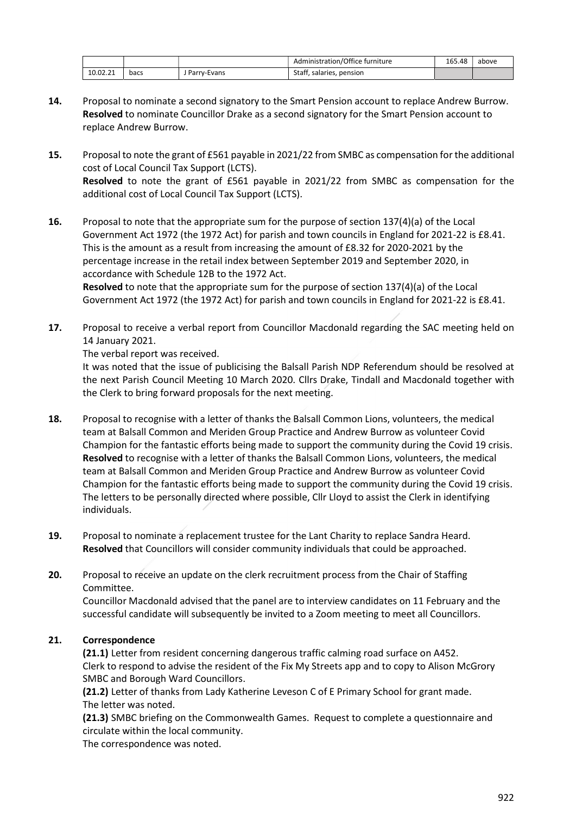|          |      |               | Administration/Office furniture | 165.48 | above |
|----------|------|---------------|---------------------------------|--------|-------|
| 10.02.21 | bacs | , Parry-Evans | Staff, salaries, pension        |        |       |

- 14. Proposal to nominate a second signatory to the Smart Pension account to replace Andrew Burrow. Resolved to nominate Councillor Drake as a second signatory for the Smart Pension account to replace Andrew Burrow.
- 15. Proposal to note the grant of £561 payable in 2021/22 from SMBC as compensation for the additional cost of Local Council Tax Support (LCTS). Resolved to note the grant of £561 payable in 2021/22 from SMBC as compensation for the additional cost of Local Council Tax Support (LCTS).
- 16. Proposal to note that the appropriate sum for the purpose of section 137(4)(a) of the Local Government Act 1972 (the 1972 Act) for parish and town councils in England for 2021-22 is £8.41. This is the amount as a result from increasing the amount of £8.32 for 2020-2021 by the percentage increase in the retail index between September 2019 and September 2020, in accordance with Schedule 12B to the 1972 Act.

 Resolved to note that the appropriate sum for the purpose of section 137(4)(a) of the Local Government Act 1972 (the 1972 Act) for parish and town councils in England for 2021-22 is £8.41.

17. Proposal to receive a verbal report from Councillor Macdonald regarding the SAC meeting held on 14 January 2021.

#### The verbal report was received.

 It was noted that the issue of publicising the Balsall Parish NDP Referendum should be resolved at the next Parish Council Meeting 10 March 2020. Cllrs Drake, Tindall and Macdonald together with the Clerk to bring forward proposals for the next meeting.

- 18. Proposal to recognise with a letter of thanks the Balsall Common Lions, volunteers, the medical team at Balsall Common and Meriden Group Practice and Andrew Burrow as volunteer Covid Champion for the fantastic efforts being made to support the community during the Covid 19 crisis. Resolved to recognise with a letter of thanks the Balsall Common Lions, volunteers, the medical team at Balsall Common and Meriden Group Practice and Andrew Burrow as volunteer Covid Champion for the fantastic efforts being made to support the community during the Covid 19 crisis. The letters to be personally directed where possible, Cllr Lloyd to assist the Clerk in identifying individuals.
- 19. Proposal to nominate a replacement trustee for the Lant Charity to replace Sandra Heard. Resolved that Councillors will consider community individuals that could be approached.
- 20. Proposal to receive an update on the clerk recruitment process from the Chair of Staffing Committee.

Councillor Macdonald advised that the panel are to interview candidates on 11 February and the successful candidate will subsequently be invited to a Zoom meeting to meet all Councillors.

#### 21. Correspondence

 (21.1) Letter from resident concerning dangerous traffic calming road surface on A452. Clerk to respond to advise the resident of the Fix My Streets app and to copy to Alison McGrory SMBC and Borough Ward Councillors.

 (21.2) Letter of thanks from Lady Katherine Leveson C of E Primary School for grant made. The letter was noted.

(21.3) SMBC briefing on the Commonwealth Games. Request to complete a questionnaire and circulate within the local community.

The correspondence was noted.